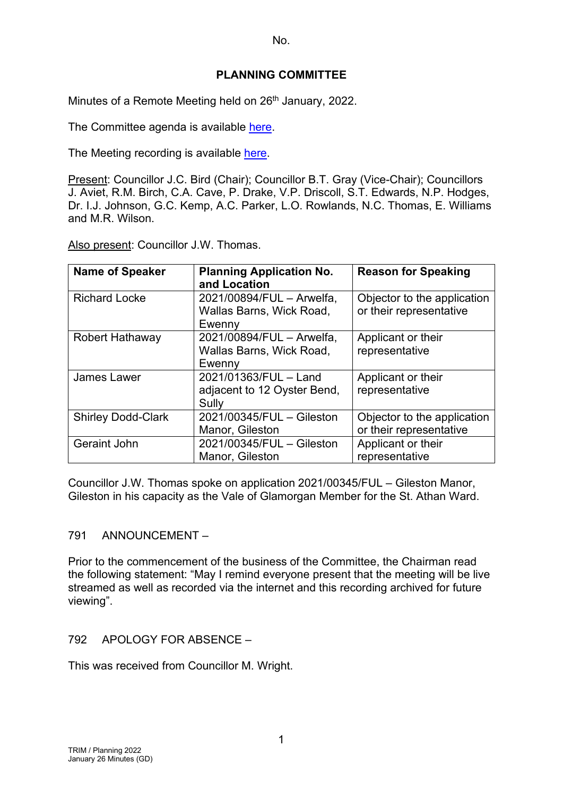## **PLANNING COMMITTEE**

Minutes of a Remote Meeting held on 26<sup>th</sup> January, 2022.

The Committee agenda is available [here.](https://www.valeofglamorgan.gov.uk/en/our_council/Council-Structure/minutes,_agendas_and_reports/agendas/planning/2022/22-01-26.aspx)

The Meeting recording is available [here.](https://www.youtube.com/watch?v=zLXIz-mOjl4&list=PLzt4i14pgqIEYTpGwpnqhxqyIIskR95ke&index=1&t=601s)

Present: Councillor J.C. Bird (Chair); Councillor B.T. Gray (Vice-Chair); Councillors J. Aviet, R.M. Birch, C.A. Cave, P. Drake, V.P. Driscoll, S.T. Edwards, N.P. Hodges, Dr. I.J. Johnson, G.C. Kemp, A.C. Parker, L.O. Rowlands, N.C. Thomas, E. Williams and M.R. Wilson.

Also present: Councillor J.W. Thomas.

| <b>Name of Speaker</b>    | <b>Planning Application No.</b><br>and Location                 | <b>Reason for Speaking</b>                             |
|---------------------------|-----------------------------------------------------------------|--------------------------------------------------------|
| <b>Richard Locke</b>      | 2021/00894/FUL - Arwelfa,<br>Wallas Barns, Wick Road,<br>Ewenny | Objector to the application<br>or their representative |
| <b>Robert Hathaway</b>    | 2021/00894/FUL - Arwelfa,                                       | Applicant or their                                     |
|                           | Wallas Barns, Wick Road,                                        | representative                                         |
|                           | Ewenny                                                          |                                                        |
| <b>James Lawer</b>        | 2021/01363/FUL - Land                                           | Applicant or their                                     |
|                           | adjacent to 12 Oyster Bend,                                     | representative                                         |
|                           | Sully                                                           |                                                        |
| <b>Shirley Dodd-Clark</b> | 2021/00345/FUL - Gileston                                       | Objector to the application                            |
|                           | Manor, Gileston                                                 | or their representative                                |
| <b>Geraint John</b>       | 2021/00345/FUL - Gileston                                       | Applicant or their                                     |
|                           | Manor, Gileston                                                 | representative                                         |

Councillor J.W. Thomas spoke on application 2021/00345/FUL – Gileston Manor, Gileston in his capacity as the Vale of Glamorgan Member for the St. Athan Ward.

## 791 ANNOUNCEMENT –

Prior to the commencement of the business of the Committee, the Chairman read the following statement: "May I remind everyone present that the meeting will be live streamed as well as recorded via the internet and this recording archived for future viewing".

## 792 APOLOGY FOR ABSENCE –

This was received from Councillor M. Wright.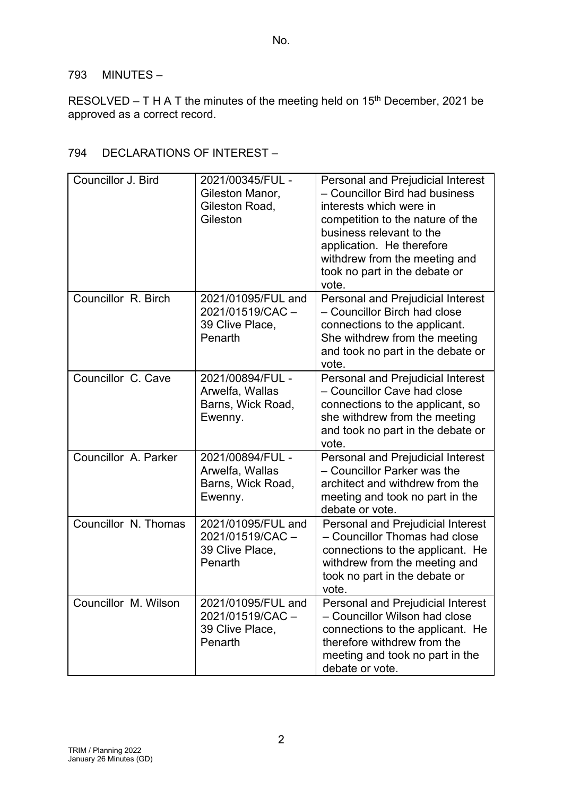### 793 MINUTES –

RESOLVED – T H A T the minutes of the meeting held on  $15<sup>th</sup>$  December, 2021 be approved as a correct record.

# 794 DECLARATIONS OF INTEREST –

| Councillor J. Bird   | 2021/00345/FUL -<br>Gileston Manor,<br>Gileston Road,<br>Gileston   | <b>Personal and Prejudicial Interest</b><br>- Councillor Bird had business<br>interests which were in<br>competition to the nature of the<br>business relevant to the<br>application. He therefore<br>withdrew from the meeting and<br>took no part in the debate or<br>vote. |
|----------------------|---------------------------------------------------------------------|-------------------------------------------------------------------------------------------------------------------------------------------------------------------------------------------------------------------------------------------------------------------------------|
| Councillor R. Birch  | 2021/01095/FUL and<br>2021/01519/CAC-<br>39 Clive Place,<br>Penarth | <b>Personal and Prejudicial Interest</b><br>- Councillor Birch had close<br>connections to the applicant.<br>She withdrew from the meeting<br>and took no part in the debate or<br>vote.                                                                                      |
| Councillor C. Cave   | 2021/00894/FUL -<br>Arwelfa, Wallas<br>Barns, Wick Road,<br>Ewenny. | <b>Personal and Prejudicial Interest</b><br>- Councillor Cave had close<br>connections to the applicant, so<br>she withdrew from the meeting<br>and took no part in the debate or<br>vote.                                                                                    |
| Councillor A. Parker | 2021/00894/FUL -<br>Arwelfa, Wallas<br>Barns, Wick Road,<br>Ewenny. | <b>Personal and Prejudicial Interest</b><br>- Councillor Parker was the<br>architect and withdrew from the<br>meeting and took no part in the<br>debate or vote.                                                                                                              |
| Councillor N. Thomas | 2021/01095/FUL and<br>2021/01519/CAC-<br>39 Clive Place,<br>Penarth | <b>Personal and Prejudicial Interest</b><br>- Councillor Thomas had close<br>connections to the applicant. He<br>withdrew from the meeting and<br>took no part in the debate or<br>vote.                                                                                      |
| Councillor M. Wilson | 2021/01095/FUL and<br>2021/01519/CAC-<br>39 Clive Place,<br>Penarth | <b>Personal and Prejudicial Interest</b><br>- Councillor Wilson had close<br>connections to the applicant. He<br>therefore withdrew from the<br>meeting and took no part in the<br>debate or vote.                                                                            |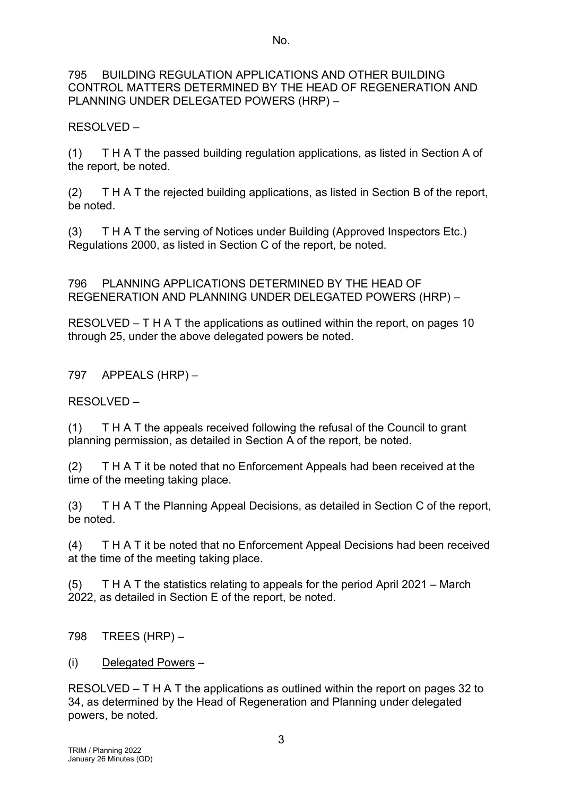#### 795 BUILDING REGULATION APPLICATIONS AND OTHER BUILDING CONTROL MATTERS DETERMINED BY THE HEAD OF REGENERATION AND PLANNING UNDER DELEGATED POWERS (HRP) –

RESOLVED –

(1) T H A T the passed building regulation applications, as listed in Section A of the report, be noted.

(2) T H A T the rejected building applications, as listed in Section B of the report, be noted.

(3) T H A T the serving of Notices under Building (Approved Inspectors Etc.) Regulations 2000, as listed in Section C of the report, be noted.

796 PLANNING APPLICATIONS DETERMINED BY THE HEAD OF REGENERATION AND PLANNING UNDER DELEGATED POWERS (HRP) –

RESOLVED – T H A T the applications as outlined within the report, on pages 10 through 25, under the above delegated powers be noted.

797 APPEALS (HRP) –

RESOLVED –

(1) T H A T the appeals received following the refusal of the Council to grant planning permission, as detailed in Section A of the report, be noted.

(2) T H A T it be noted that no Enforcement Appeals had been received at the time of the meeting taking place.

(3) T H A T the Planning Appeal Decisions, as detailed in Section C of the report, be noted.

(4) T H A T it be noted that no Enforcement Appeal Decisions had been received at the time of the meeting taking place.

(5) T H A T the statistics relating to appeals for the period April 2021 – March 2022, as detailed in Section E of the report, be noted.

798 TREES (HRP) –

(i) Delegated Powers –

RESOLVED – T H A T the applications as outlined within the report on pages 32 to 34, as determined by the Head of Regeneration and Planning under delegated powers, be noted.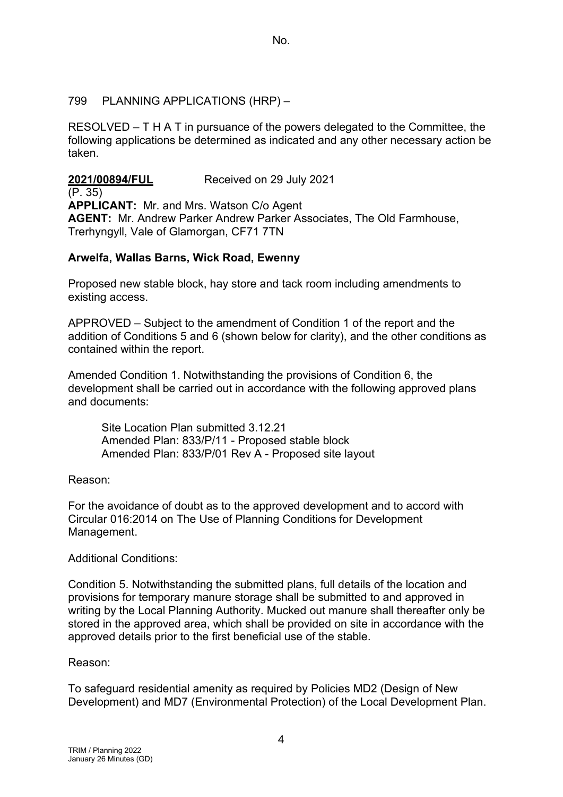### 799 PLANNING APPLICATIONS (HRP) –

RESOLVED – T H A T in pursuance of the powers delegated to the Committee, the following applications be determined as indicated and any other necessary action be taken.

**2021/00894/FUL** Received on 29 July 2021 (P. 35) **APPLICANT:** Mr. and Mrs. Watson C/o Agent **AGENT:** Mr. Andrew Parker Andrew Parker Associates, The Old Farmhouse, Trerhyngyll, Vale of Glamorgan, CF71 7TN

## **Arwelfa, Wallas Barns, Wick Road, Ewenny**

Proposed new stable block, hay store and tack room including amendments to existing access.

APPROVED – Subject to the amendment of Condition 1 of the report and the addition of Conditions 5 and 6 (shown below for clarity), and the other conditions as contained within the report.

Amended Condition 1. Notwithstanding the provisions of Condition 6, the development shall be carried out in accordance with the following approved plans and documents:

Site Location Plan submitted 3.12.21 Amended Plan: 833/P/11 - Proposed stable block Amended Plan: 833/P/01 Rev A - Proposed site layout

### Reason:

For the avoidance of doubt as to the approved development and to accord with Circular 016:2014 on The Use of Planning Conditions for Development Management.

### Additional Conditions:

Condition 5. Notwithstanding the submitted plans, full details of the location and provisions for temporary manure storage shall be submitted to and approved in writing by the Local Planning Authority. Mucked out manure shall thereafter only be stored in the approved area, which shall be provided on site in accordance with the approved details prior to the first beneficial use of the stable.

### Reason:

To safeguard residential amenity as required by Policies MD2 (Design of New Development) and MD7 (Environmental Protection) of the Local Development Plan.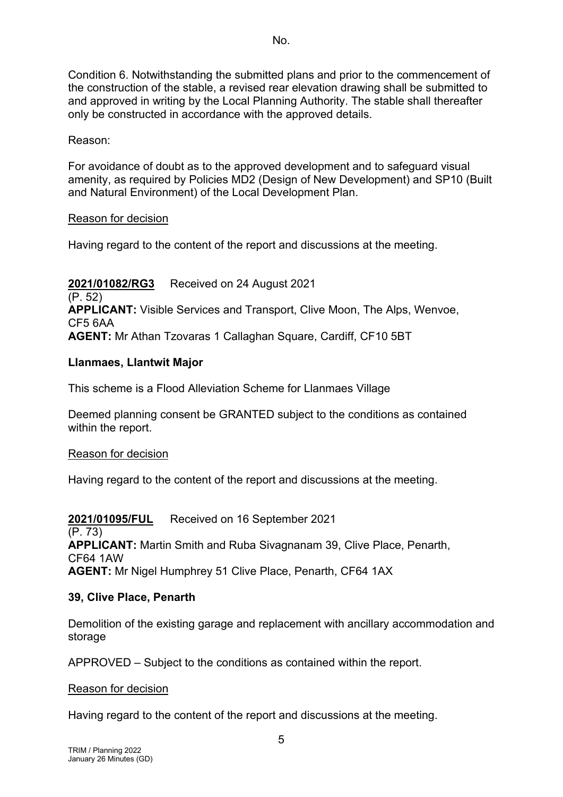Condition 6. Notwithstanding the submitted plans and prior to the commencement of the construction of the stable, a revised rear elevation drawing shall be submitted to and approved in writing by the Local Planning Authority. The stable shall thereafter only be constructed in accordance with the approved details.

### Reason:

For avoidance of doubt as to the approved development and to safeguard visual amenity, as required by Policies MD2 (Design of New Development) and SP10 (Built and Natural Environment) of the Local Development Plan.

### Reason for decision

Having regard to the content of the report and discussions at the meeting.

**2021/01082/RG3** Received on 24 August 2021 (P. 52) **APPLICANT:** Visible Services and Transport, Clive Moon, The Alps, Wenvoe, CF5 6AA **AGENT:** Mr Athan Tzovaras 1 Callaghan Square, Cardiff, CF10 5BT

### **Llanmaes, Llantwit Major**

This scheme is a Flood Alleviation Scheme for Llanmaes Village

Deemed planning consent be GRANTED subject to the conditions as contained within the report.

### Reason for decision

Having regard to the content of the report and discussions at the meeting.

## **2021/01095/FUL** Received on 16 September 2021

(P. 73) **APPLICANT:** Martin Smith and Ruba Sivagnanam 39, Clive Place, Penarth, CF64 1AW **AGENT:** Mr Nigel Humphrey 51 Clive Place, Penarth, CF64 1AX

### **39, Clive Place, Penarth**

Demolition of the existing garage and replacement with ancillary accommodation and storage

APPROVED – Subject to the conditions as contained within the report.

### Reason for decision

Having regard to the content of the report and discussions at the meeting.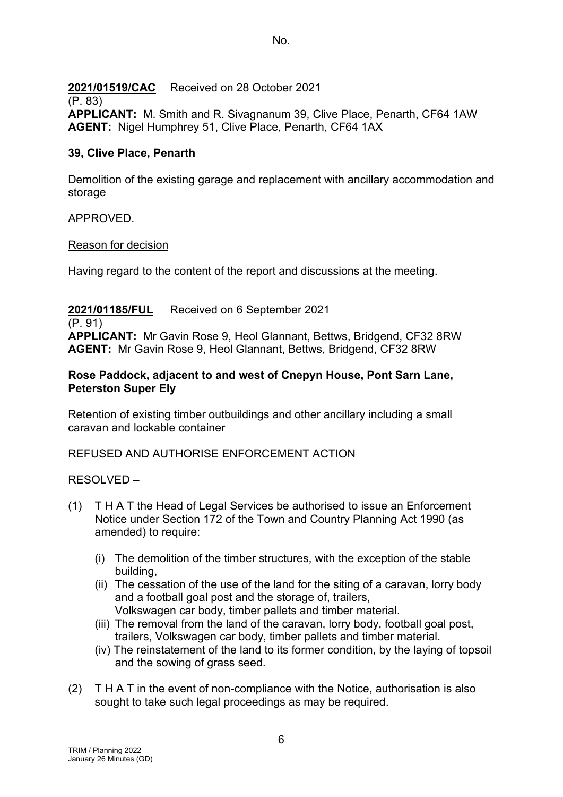## **2021/01519/CAC** Received on 28 October 2021

### (P. 83)

**APPLICANT:** M. Smith and R. Sivagnanum 39, Clive Place, Penarth, CF64 1AW **AGENT:** Nigel Humphrey 51, Clive Place, Penarth, CF64 1AX

## **39, Clive Place, Penarth**

Demolition of the existing garage and replacement with ancillary accommodation and storage

## APPROVED.

## Reason for decision

Having regard to the content of the report and discussions at the meeting.

## **2021/01185/FUL** Received on 6 September 2021

(P. 91) **APPLICANT:** Mr Gavin Rose 9, Heol Glannant, Bettws, Bridgend, CF32 8RW **AGENT:** Mr Gavin Rose 9, Heol Glannant, Bettws, Bridgend, CF32 8RW

### **Rose Paddock, adjacent to and west of Cnepyn House, Pont Sarn Lane, Peterston Super Ely**

Retention of existing timber outbuildings and other ancillary including a small caravan and lockable container

## REFUSED AND AUTHORISE ENFORCEMENT ACTION

## RESOLVED –

- (1) T H A T the Head of Legal Services be authorised to issue an Enforcement Notice under Section 172 of the Town and Country Planning Act 1990 (as amended) to require:
	- (i) The demolition of the timber structures, with the exception of the stable building,
	- (ii) The cessation of the use of the land for the siting of a caravan, lorry body and a football goal post and the storage of, trailers, Volkswagen car body, timber pallets and timber material.
	- (iii) The removal from the land of the caravan, lorry body, football goal post, trailers, Volkswagen car body, timber pallets and timber material.
	- (iv) The reinstatement of the land to its former condition, by the laying of topsoil and the sowing of grass seed.
- (2) T H A T in the event of non-compliance with the Notice, authorisation is also sought to take such legal proceedings as may be required.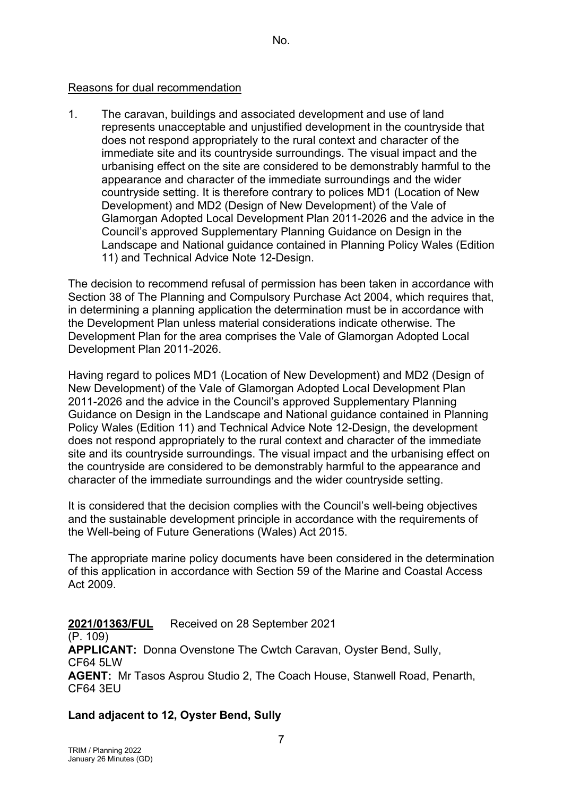### Reasons for dual recommendation

1. The caravan, buildings and associated development and use of land represents unacceptable and unjustified development in the countryside that does not respond appropriately to the rural context and character of the immediate site and its countryside surroundings. The visual impact and the urbanising effect on the site are considered to be demonstrably harmful to the appearance and character of the immediate surroundings and the wider countryside setting. It is therefore contrary to polices MD1 (Location of New Development) and MD2 (Design of New Development) of the Vale of Glamorgan Adopted Local Development Plan 2011-2026 and the advice in the Council's approved Supplementary Planning Guidance on Design in the Landscape and National guidance contained in Planning Policy Wales (Edition 11) and Technical Advice Note 12-Design.

The decision to recommend refusal of permission has been taken in accordance with Section 38 of The Planning and Compulsory Purchase Act 2004, which requires that, in determining a planning application the determination must be in accordance with the Development Plan unless material considerations indicate otherwise. The Development Plan for the area comprises the Vale of Glamorgan Adopted Local Development Plan 2011-2026.

Having regard to polices MD1 (Location of New Development) and MD2 (Design of New Development) of the Vale of Glamorgan Adopted Local Development Plan 2011-2026 and the advice in the Council's approved Supplementary Planning Guidance on Design in the Landscape and National guidance contained in Planning Policy Wales (Edition 11) and Technical Advice Note 12-Design, the development does not respond appropriately to the rural context and character of the immediate site and its countryside surroundings. The visual impact and the urbanising effect on the countryside are considered to be demonstrably harmful to the appearance and character of the immediate surroundings and the wider countryside setting.

It is considered that the decision complies with the Council's well-being objectives and the sustainable development principle in accordance with the requirements of the Well-being of Future Generations (Wales) Act 2015.

The appropriate marine policy documents have been considered in the determination of this application in accordance with Section 59 of the Marine and Coastal Access Act 2009.

**2021/01363/FUL** Received on 28 September 2021 (P. 109) **APPLICANT:** Donna Ovenstone The Cwtch Caravan, Oyster Bend, Sully, CF64 5LW **AGENT:** Mr Tasos Asprou Studio 2, The Coach House, Stanwell Road, Penarth, CF64 3EU

## **Land adjacent to 12, Oyster Bend, Sully**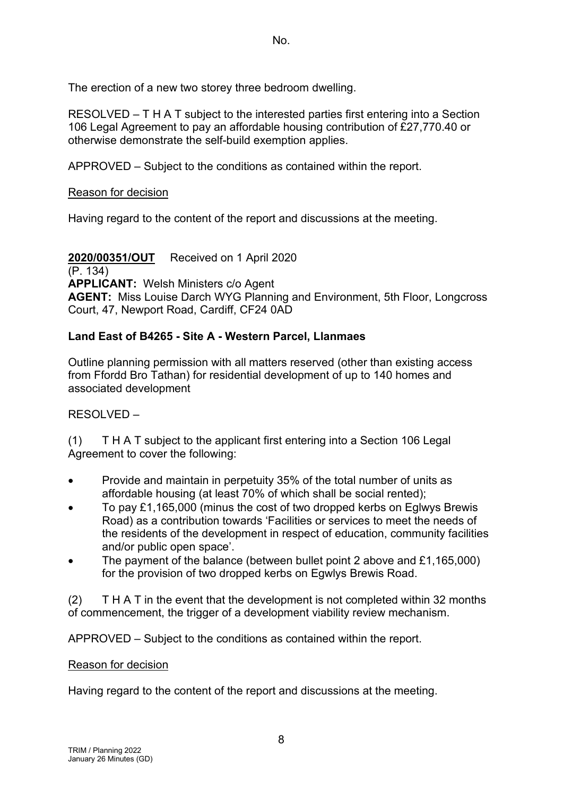The erection of a new two storey three bedroom dwelling.

RESOLVED – T H A T subject to the interested parties first entering into a Section 106 Legal Agreement to pay an affordable housing contribution of £27,770.40 or otherwise demonstrate the self-build exemption applies.

APPROVED – Subject to the conditions as contained within the report.

### Reason for decision

Having regard to the content of the report and discussions at the meeting.

**2020/00351/OUT** Received on 1 April 2020 (P. 134) **APPLICANT:** Welsh Ministers c/o Agent **AGENT:** Miss Louise Darch WYG Planning and Environment, 5th Floor, Longcross Court, 47, Newport Road, Cardiff, CF24 0AD

## **Land East of B4265 - Site A - Western Parcel, Llanmaes**

Outline planning permission with all matters reserved (other than existing access from Ffordd Bro Tathan) for residential development of up to 140 homes and associated development

## RESOLVED –

(1) T H A T subject to the applicant first entering into a Section 106 Legal Agreement to cover the following:

- Provide and maintain in perpetuity 35% of the total number of units as affordable housing (at least 70% of which shall be social rented);
- To pay £1,165,000 (minus the cost of two dropped kerbs on Eglwys Brewis Road) as a contribution towards 'Facilities or services to meet the needs of the residents of the development in respect of education, community facilities and/or public open space'.
- The payment of the balance (between bullet point 2 above and £1,165,000) for the provision of two dropped kerbs on Egwlys Brewis Road.

(2) T H A T in the event that the development is not completed within 32 months of commencement, the trigger of a development viability review mechanism.

APPROVED – Subject to the conditions as contained within the report.

### Reason for decision

Having regard to the content of the report and discussions at the meeting.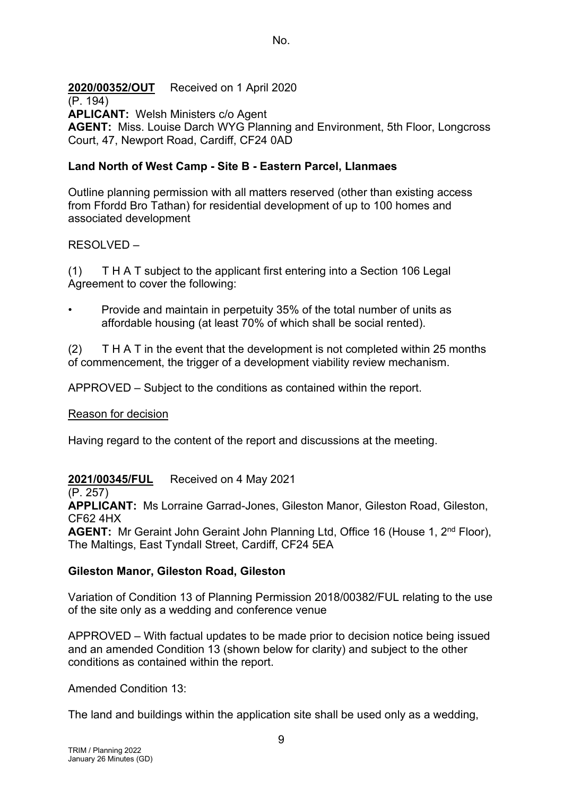**2020/00352/OUT** Received on 1 April 2020

(P. 194)

**APLICANT:** Welsh Ministers c/o Agent

**AGENT:** Miss. Louise Darch WYG Planning and Environment, 5th Floor, Longcross Court, 47, Newport Road, Cardiff, CF24 0AD

## **Land North of West Camp - Site B - Eastern Parcel, Llanmaes**

Outline planning permission with all matters reserved (other than existing access from Ffordd Bro Tathan) for residential development of up to 100 homes and associated development

## RESOLVED –

(1) T H A T subject to the applicant first entering into a Section 106 Legal Agreement to cover the following:

• Provide and maintain in perpetuity 35% of the total number of units as affordable housing (at least 70% of which shall be social rented).

 $(2)$  T H A T in the event that the development is not completed within 25 months of commencement, the trigger of a development viability review mechanism.

APPROVED – Subject to the conditions as contained within the report.

### Reason for decision

Having regard to the content of the report and discussions at the meeting.

## **2021/00345/FUL** Received on 4 May 2021

(P. 257)

**APPLICANT:** Ms Lorraine Garrad-Jones, Gileston Manor, Gileston Road, Gileston, CF62 4HX

**AGENT:** Mr Geraint John Geraint John Planning Ltd, Office 16 (House 1, 2<sup>nd</sup> Floor), The Maltings, East Tyndall Street, Cardiff, CF24 5EA

## **Gileston Manor, Gileston Road, Gileston**

Variation of Condition 13 of Planning Permission 2018/00382/FUL relating to the use of the site only as a wedding and conference venue

APPROVED – With factual updates to be made prior to decision notice being issued and an amended Condition 13 (shown below for clarity) and subject to the other conditions as contained within the report.

Amended Condition 13:

The land and buildings within the application site shall be used only as a wedding,